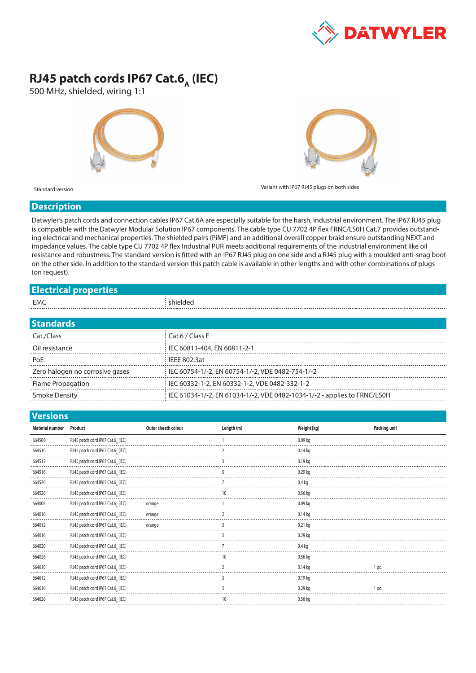

## **RJ45 patch cords IP67 Cat.6<sub>A</sub> (IEC)**

500 MHz, shielded, wiring 1:1





Standard version Variant with IP67 RJ45 plugs on both sides

## **Description**

Datwyler's patch cords and connection cables IP67 Cat.6A are especially suitable for the harsh, industrial environment. The IP67 RJ45 plug is compatible with the Datwyler Modular Solution IP67 components. The cable type CU 7702 4P flex FRNC/LS0H Cat.7 provides outstanding electrical and mechanical properties. The shielded pairs (PiMF) and an additional overall copper braid ensure outstanding NEXT and impedance values. The cable type CU 7702 4P flex Industrial PUR meets additional requirements of the industrial environment like oil resistance and robustness. The standard version is fitted with an IP67 RJ45 plug on one side and a RJ45 plug with a moulded anti-snag boot on the other side. In addition to the standard version this patch cable is available in other lengths and with other combinations of plugs (on request).

## **Electrical properties**

| EM( | --<br>116<br>. |
|-----|----------------|
|     |                |

| <b>Standards</b>                |                                                                          |  |  |
|---------------------------------|--------------------------------------------------------------------------|--|--|
| Cat./Class                      | Cat.6 / Class E                                                          |  |  |
| Oil resistance                  | IEC 60811-404, EN 60811-2-1                                              |  |  |
| PoF                             | IFFF 802.3at                                                             |  |  |
| Zero halogen no corrosive gases | IEC 60754-1/-2, EN 60754-1/-2, VDE 0482-754-1/-2                         |  |  |
| <b>Flame Propagation</b>        | IEC 60332-1-2, EN 60332-1-2, VDE 0482-332-1-2                            |  |  |
| Smoke Density                   | IEC 61034-1/-2, EN 61034-1/-2, VDE 0482-1034-1/-2 - applies to FRNC/LS0H |  |  |

| <b>Versions</b>        |                                   |                     |            |                   |                     |  |
|------------------------|-----------------------------------|---------------------|------------|-------------------|---------------------|--|
| <b>Material number</b> | Product                           | Outer sheath colour | Length (m) | Weight [kg]       | <b>Packing unit</b> |  |
| 664508                 | RJ45 patch cord IP67 Cat.6, (IEC) |                     |            | $0.09$ kg         |                     |  |
| 664510                 | RJ45 patch cord IP67 Cat.6, (IEC) |                     |            | $0.14$ kg         |                     |  |
| 664512                 | RJ45 patch cord IP67 Cat.6, (IEC) |                     |            | $0.19$ kg         |                     |  |
| 664516                 | RJ45 patch cord IP67 Cat.6, (IEC) |                     |            | $0.29$ ka         |                     |  |
| 664520                 | RJ45 patch cord IP67 Cat.6, (IEC) |                     |            | $0.4$ kg          |                     |  |
| 664526                 | RJ45 patch cord IP67 Cat.6, (IEC) |                     |            | $0.56$ kg         |                     |  |
| 664008                 | RJ45 patch cord IP67 Cat.6, (IEC) | orange              |            | $0.09$ kg         |                     |  |
| 664010                 | RJ45 patch cord IP67 Cat.6, (IEC) | orange              |            | $0.14$ kg         |                     |  |
| 664012                 | RJ45 patch cord IP67 Cat.6, (IEC) | orange              |            | $0.21$ kg         |                     |  |
| 664016                 | RJ45 patch cord IP67 Cat.6, (IEC) |                     |            | $0.29$ kg         |                     |  |
| 664020                 | RJ45 patch cord IP67 Cat.6, (IEC) |                     |            | 0.4 <sub>kq</sub> |                     |  |
| 664026                 | RJ45 patch cord IP67 Cat.6, (IEC) |                     | 10         | 0.56 kg           |                     |  |
| 664610                 | RJ45 patch cord IP67 Cat.6, (IEC) |                     |            | $0.14$ kg         | 1 pc.               |  |
| 664612                 | RJ45 patch cord IP67 Cat.6, (IEC) |                     |            | $0.19$ kg         |                     |  |
| 664616                 | RJ45 patch cord IP67 Cat.6, (IEC) |                     |            | $0.29$ kg         | 1 pc.               |  |
| 664626                 | RJ45 patch cord IP67 Cat.6, (IEC) |                     |            | $0.56$ kg         |                     |  |
|                        |                                   |                     |            |                   |                     |  |